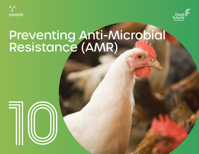



# Preventing Anti-Microbial Resistance (AMR)

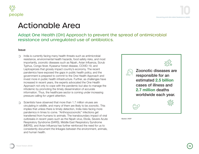



### Actionable Area

Adopt One Health (OH) Approach to prevent the spread of antimicrobial resistance and unregulated use of antibiotics.

#### **Issue**

- India is currently facing many health threats such as antimicrobial ∩ resistance, environmental health hazards, food safety risks, and most importantly, zoonotic diseases such as Nipah, Avian Influenza, Scrub Typhus, Congo fever, Kyasanur forest disease, COVID-19, and Leptospirosis that grossly impact country's economy. The recent pandemics have exposed the gaps in public health policy, and the government is prepared to commit to the One Health Approach and invest more in public health infrastructure. Further, as challenges have increased in recent years, the experts advocated the One Health Approach not only to cope with the pandemic but also to manage the infodemic by promoting the timely dissemination of accurate information. Thus, the healthcare sector is coming under increasing pressure calling for urgent attention.
- Scientists have observed that more than 1.7 million viruses are circulating in wildlife, and many of them are likely to be zoonotic. This implies that unless there is timely detection, India risks facing more pandemics in times to come. "Anthropozoonotic" infections get transferred from humans to animals. The transboundary impact of viral outbreaks in recent years such as the Nipah virus, Ebola, Severe Acute Respiratory Syndrome (SARS), Middle East Respiratory Syndrome (MERS), and Avian Influenza has further reinforced the need for us to consistently document the linkages between the environment, animals, and human health.



Source: UNDP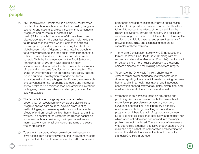

- AMR (Antimicrobial Resistance) is a complex, multifaceted problem that threatens human and animal health, the global economy, and national and global security that demands an integrated and holistic multi-sectoral One Health(OH)approach. The rates of AMR have been rising disproportionately in the past few decades. India holds the fourth position in the world when it comes to antibiotic consumption by food animals, accounting for 3% of the global consumption. Adopting an integrated approach to food safety throughout the food chain "from farm to fork" is critical to prevent foodborne diseases and other safety hazards. With the implementation of the Food Safety and Standards Act, 2006, India was able to lay down science-based standards for foods to ensure the availability of safe and wholesome food for human consumption. The areas for OH intervention for preventing food safety hazards include outbreak investigation of foodborne illness, laboratory network for pathogen identification, joint research and surveillance of the foodborne pathogen, and improving animal health to help minimise food contamination infectious pathogens, training, and demonstration programs on food safety measures.
- The field of climate change represents an excellent opportunity for researchers to work across disciplines to integrate diverse data sources, develop cross-cutting methodologies, and answer questions about the broader effects of environmental health on human health and animal welfare. The control of the vector-borne disease cannot be addressed without considering the impact of natural and man-made environmental changes on patterns of disease vector proliferation.
- To prevent the spread of new animal-borne diseases and save people from becoming victims, the OH system must be implemented. It refers to a system in which different sectors

collaborate and communicate to improve public health results. "It is impossible to preserve human health without taking into account the effects of human activities that disturb ecosystems, intrude on habitats, and accelerate climate change. Pollution, vast deforestation, intense cattle production, antibiotic overuse, and present systems of growing, consuming, and exchanging food are all examples of these activities.

- The Wildlife Conservation Society (WCS) introduced the ∩ term "One World-One Health" in 2007 along with 12 recommendations (the Manhattan Principles) that focused on establishing a more holistic approach to preventing epidemic disease and maintaining ecosystem integrity.
- To achieve the 'One Health' vision, challenges on veterinary manpower shortages, restricted/improper disease reporting, the lack of information sharing between human and animal health institutions, and inadequate coordination on food safety at slaughter, distribution, and retail facilities, and others must be addressed.
- While there is an increased focus on preventing and predicting diseases in human health, the animal health sector lacks proper disease prevention, reporting, surveillance, forecasting, and laboratory diagnosis. Another major challenge is setting up surveillance programs, and there is a lack of support from partners. Milder zoonotic diseases that pose a low and medium risk which when not addressed can convert into the major problem are not monitored. There is a lack of awareness. Wild zoonosis is a domain that lacks proper attention. One main challenge is that the collaboration and coordination among the stakeholders are not sufficient to adopt a standard One Health protocol.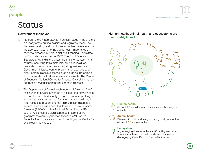



### **Status**

- Although the OH approach is in an early stage in India, there  $\bigcirc$ are many cross-cutting policies and regulatory measures that are operating and conducive for further development of the approach. Owing to the public health importance of zoonotic diseases in India, a National Standing Committee on Zoonosis was formed in 2007. The Food Safety and Standards Act, India, stipulates the limits for contaminants, naturally occurring toxic materials, antibiotic residues, pesticides, heavy metals, veterinary drug residues, etc. Government-initiated control programs for zoonotic and highly communicable diseases such as rabies, brucellosis, and food-and-mouth disease are also available. The Centre of Zoonosis, National Centre for Disease Control, India, has published a manual for handling zoonotic diseases.
- The Department of Animal Husbandry and Dairying (DAHD) has launched several schemes to mitigate the prevalence of animal diseases. Additionally, the government is working on revamping programmes that focus on capacity building for veterinarians and upgrading the animal health diagnostic system, such as Assistance to States for Control of Animal Diseases (ASCAD). India's National Action Plan (NAP) against AMR marks a significant step in terms of the government's convergent effort to tackle AMR issues. Recently, funds were sanctioned for setting up a 'Centre for One Health' at Nagpur.

#### Government Initiatives **Human health, animal health and ecosystems** are **inextricably linked**



#### **Human health**

At least 60% of all human diseases have their origin in animals



### **Animal health**

Diseases in food producing animals globally amount to a loss of 20% in production

#### **Ecosystem**

Any emerging disease in the last 30 or 40 years results from encroachment into wild lands and changes in demography (Peter Daszak, EcoHealth Alliance)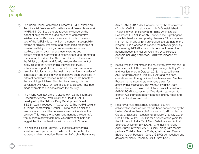

- The Indian Council of Medical Research (ICMR) initiated an Antimicrobial Resistance Surveillance and Research Network (AMRSN) in 2013 to generate relevant evidence on the extent of drug resistance, and nationally representative reliable data on AMR was not existent in India. The main goal of the AMRSN is to monitor the trends in susceptibility profiles of clinically important and pathogenic organisms of human health by including comprehensive molecular studies, creating data management systems and dissemination of information to stakeholders, and promoting intervention to reduce the AMR. In addition to the above, the Ministry of Health and Family Welfare, Government of India, initiated the Antimicrobial stewardship (AMSP) activities. As a part of this and in order to promote rational
- use of antibiotics among the healthcare providers, a series of  $\circledcirc$ sensitisation and training workshops have been organised in different healthcare facilities in the country for the benefit of the practicing clinicians. Standard treatment guidelines developed by NCDC for rational use of antibiotics have been made available to clinicians across the country.
- The Pashu Aadhaar system, also known as the Information ∩ Network for Animal Productivity and Health (INAPH), developed by the National Dairy Development Board (NDDB), was introduced in August 2019. The INAPH assigns a Unique Identification Number (UID) to each animal and keeps a record of all the necessary information about the bovines. This helps the government manage the country's vast numbers of livestock; now Government of India has tagged 14.62 crore livestock with a unique ID Number.
- The National Health Policy 2017 identifies antimicrobial resistance as a problem and calls for effective action to address it. National Action Plan on Anti-Microbial Resistance

(NAP – AMR) 2017-2021 was issued by the Government of India. ICAR, in collaboration with FAO, established "Indian Network of Fishery and Animal Antimicrobial Resistance (INFAAR)" for AMR surveillance in pathogens from fish, livestock, and poultry. Presently 21 laboratories (18 from ICAR and 3 from universities) are partners of this program. It is proposed to expand the network gradually, thus making INFAAR a pan-India network to meet the national needs. Manual on Veterinary Drug Residue Analysis including antibiotics, 2018 was released by FSSAI.

- Kerala was the first state in the country to have ramped up ∩ efforts to control AMR, and this plan was guided by WHO and was launched in October 2018. It is called Kerala AMR Strategic Action Plan (KARSAP) and has been operationalised through a One Health response. Madhya Pradesh is the second state to have a plan for antimicrobial resistance. The Madhya Pradesh State Action Plan for Containment of Antimicrobial Resistance (MP-SAPCAR) focuses on a 'One Health' approach to contain AMR through six key strategic priority areas and multi-sectorial involvement.
- Recently a multi-disciplinary and multi-country ∩ collaborative research project had been sanctioned by the United Kingdom Research & Innovation (UKRI) under the Global Challenges Research Fund (GCRF), namely GCRF One Health Poultry Hub. It is for a period of five years for five intuitions in India, Tamil Nadu Veterinary and Animal Sciences University (TANUVAS), Chennai and Anand Agricultural University (AAU), Gujarat, along with medical partners Christian Medical College, Vellore, and Gujarat Biotechnology Research Centre (GBRC), Ahmedabad and Jawaharlal Nehru University (JNU), New Delhi.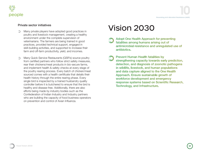

#### Private sector initiatives

- Many private players have adopted good practices in ∩ poultry and livestock management, creating a healthy environment under the complete supervision of veterinarians. The farmers are being trained in good practices, provided technical support, engaged in skill-building activities, and supported to increase their farm and off-farm productivity, yield, and incomes.
- Many Quick Service Restaurants (QSR's) source poultry ∩ from certified partners who follow strict safety measures, rear their chickens/meat products in bio-secure farms, and implement health & safety checks at every stage of the poultry rearing process. Every batch of chicken/meat sourced comes with a health certificate that details their health history through the entire rearing phase. Every single bird is inspected by a trained husbandry quality controller before it is butchered to ensure that the bird is healthy and disease-free. Additionally, there are also efforts being made by industry bodies such as the Confederation of Indian Industry and Industry partners who are building the capacity of food business operators on prevention and control of Avian Influenza.

## Vision 2030

- **Adopt One Health Approach for preventing** fatalities among humans arising out of antimicrobial resistance and unrequlated use of antibiotics.
- **Prevent Human Health fatalities by** strengthening capacity towards early prediction, detection, and diagnosis of zoonotic pathogens in wildlife, livestock, and human populations and data capture aligned to the One Health Approach, Ensure sustainable growth of workforce development and emergency response systems based on Scientific Research, **Technology, and Infrastructure.**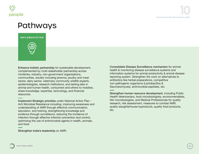

### Pathways

**IMPLEMENTATION**



Enhance holistic partnership for sustainable development, complemented by multi-stakeholder partnership across ministries, industry, non-government organisations, communities, society including pharma, poultry and meat sector, dairy sector, veterinary community wildlife experts, epidemiologists, research institutions, and testing labs in animal and human health, consumers and others to mobilise, share knowledge, expertise, technology, and financial resources.

Implement Strategic priorities under National Action Plan - Anti Microbial Resistance including, improving awareness and understanding of AMR through effective communication, education, and training, strengthening knowledge and evidence through surveillance, reducing the incidence of infection through effective infection prevention and control, optimising the use of antimicrobial agents in health, animals, and food

Strengthen India's leadership on AMR.

Consolidate Disease Surveillance mechanism for animal health & monitoring disease surveillance systems and information systems for animal productivity & animal disease reporting system. Strengthen the work on alternatives to antibiotics like herbal preparations, competitive non-pathogenic organisms (Lactobacillus & Saccharomyces), antimicrobial peptides, etc.

Strengthen human resource development, including Public Health Veterinarians, food microbiologists, environmentalists, fish microbiologists, and Medical Professionals for quality research, risk assessment, measures to combat AMR, quality slaughterhouse byproducts, quality food products, etc.